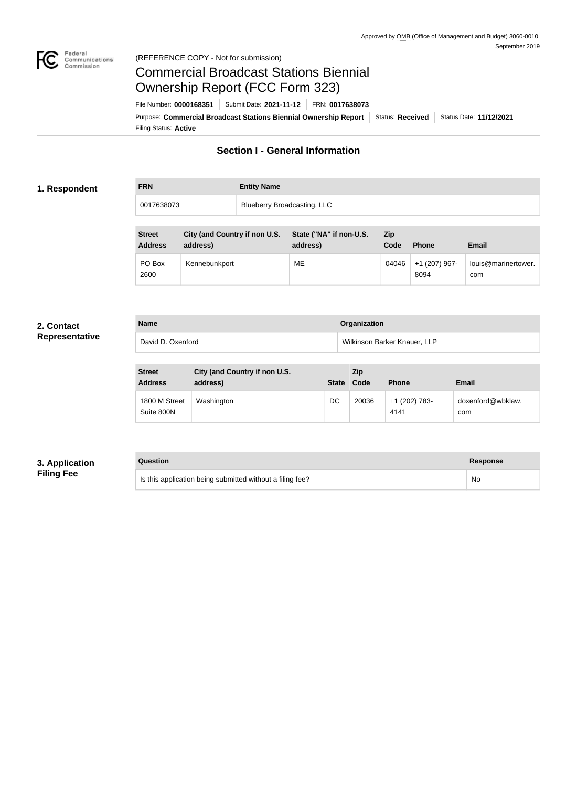

### Federal<br>Communications<br>Commission (REFERENCE COPY - Not for submission)

# Commercial Broadcast Stations Biennial Ownership Report (FCC Form 323)

Filing Status: **Active** Purpose: Commercial Broadcast Stations Biennial Ownership Report Status: Received Status Date: 11/12/2021 File Number: **0000168351** Submit Date: **2021-11-12** FRN: **0017638073**

# **Section I - General Information**

#### **1. Respondent**

| <b>FRN</b> | <b>Entity Name</b>                 |  |
|------------|------------------------------------|--|
| 0017638073 | <b>Blueberry Broadcasting, LLC</b> |  |

| <b>Street</b><br><b>Address</b> | City (and Country if non U.S.<br>address) | State ("NA" if non-U.S.<br>address) | <b>Zip</b><br>Code | <b>Phone</b>          | Email                      |
|---------------------------------|-------------------------------------------|-------------------------------------|--------------------|-----------------------|----------------------------|
| PO Box<br>2600                  | Kennebunkport                             | MЕ                                  | 04046              | +1 (207) 967-<br>8094 | louis@marinertower.<br>com |

#### **2. Contact Representative**

| <b>Name</b>       | Organization                 |
|-------------------|------------------------------|
| David D. Oxenford | Wilkinson Barker Knauer, LLP |

| <b>Street</b><br><b>Address</b> | City (and Country if non U.S.<br>address) | <b>State</b> | Zip<br>Code | <b>Phone</b>          | <b>Email</b>             |
|---------------------------------|-------------------------------------------|--------------|-------------|-----------------------|--------------------------|
| 1800 M Street<br>Suite 800N     | Washington                                | DC           | 20036       | +1 (202) 783-<br>4141 | doxenford@wbklaw.<br>com |

### **3. Application Filing Fee**

**Question Response**

| Is this application being submitted without a filing fee? | Nc |
|-----------------------------------------------------------|----|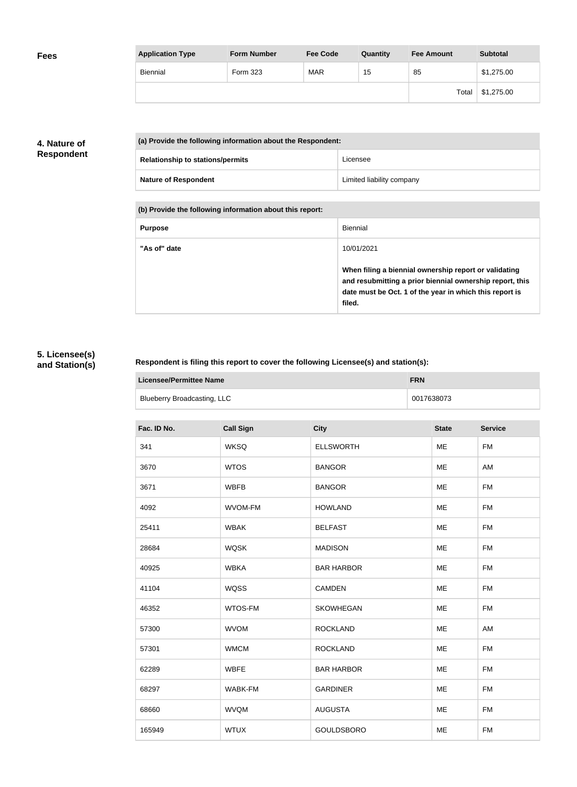| <b>Application Type</b> | <b>Form Number</b> | <b>Fee Code</b> | Quantity | <b>Fee Amount</b> | <b>Subtotal</b> |
|-------------------------|--------------------|-----------------|----------|-------------------|-----------------|
| <b>Biennial</b>         | Form 323           | <b>MAR</b>      | 15       | 85                | \$1,275.00      |
|                         |                    |                 |          | Total             | \$1,275.00      |

## **4. Nature of Respondent**

| (a) Provide the following information about the Respondent: |                           |
|-------------------------------------------------------------|---------------------------|
| <b>Relationship to stations/permits</b>                     | Licensee                  |
| <b>Nature of Respondent</b>                                 | Limited liability company |

**(b) Provide the following information about this report:**

| <b>Purpose</b> | Biennial                                                                                                                                                                               |
|----------------|----------------------------------------------------------------------------------------------------------------------------------------------------------------------------------------|
| "As of" date   | 10/01/2021                                                                                                                                                                             |
|                | When filing a biennial ownership report or validating<br>and resubmitting a prior biennial ownership report, this<br>date must be Oct. 1 of the year in which this report is<br>filed. |

# **5. Licensee(s) and Station(s)**

## **Respondent is filing this report to cover the following Licensee(s) and station(s):**

| Licensee/Permittee Name            | <b>FRN</b> |
|------------------------------------|------------|
| <b>Blueberry Broadcasting, LLC</b> | 0017638073 |

| Fac. ID No. | <b>Call Sign</b> | <b>City</b>       | <b>State</b> | <b>Service</b> |
|-------------|------------------|-------------------|--------------|----------------|
| 341         | <b>WKSQ</b>      | <b>ELLSWORTH</b>  | ME           | <b>FM</b>      |
| 3670        | <b>WTOS</b>      | <b>BANGOR</b>     | ME           | AM             |
| 3671        | <b>WBFB</b>      | <b>BANGOR</b>     | <b>ME</b>    | <b>FM</b>      |
| 4092        | <b>WVOM-FM</b>   | <b>HOWLAND</b>    | <b>ME</b>    | <b>FM</b>      |
| 25411       | <b>WBAK</b>      | <b>BELFAST</b>    | ME           | <b>FM</b>      |
| 28684       | <b>WQSK</b>      | <b>MADISON</b>    | ME           | <b>FM</b>      |
| 40925       | <b>WBKA</b>      | <b>BAR HARBOR</b> | ME           | <b>FM</b>      |
| 41104       | <b>WQSS</b>      | <b>CAMDEN</b>     | ME           | <b>FM</b>      |
| 46352       | WTOS-FM          | <b>SKOWHEGAN</b>  | <b>ME</b>    | <b>FM</b>      |
| 57300       | <b>WVOM</b>      | <b>ROCKLAND</b>   | ME           | AM             |
| 57301       | <b>WMCM</b>      | <b>ROCKLAND</b>   | ME           | <b>FM</b>      |
| 62289       | <b>WBFE</b>      | <b>BAR HARBOR</b> | <b>ME</b>    | <b>FM</b>      |
| 68297       | WABK-FM          | <b>GARDINER</b>   | <b>ME</b>    | <b>FM</b>      |
| 68660       | <b>WVQM</b>      | <b>AUGUSTA</b>    | ME           | FM             |
| 165949      | <b>WTUX</b>      | <b>GOULDSBORO</b> | ME           | <b>FM</b>      |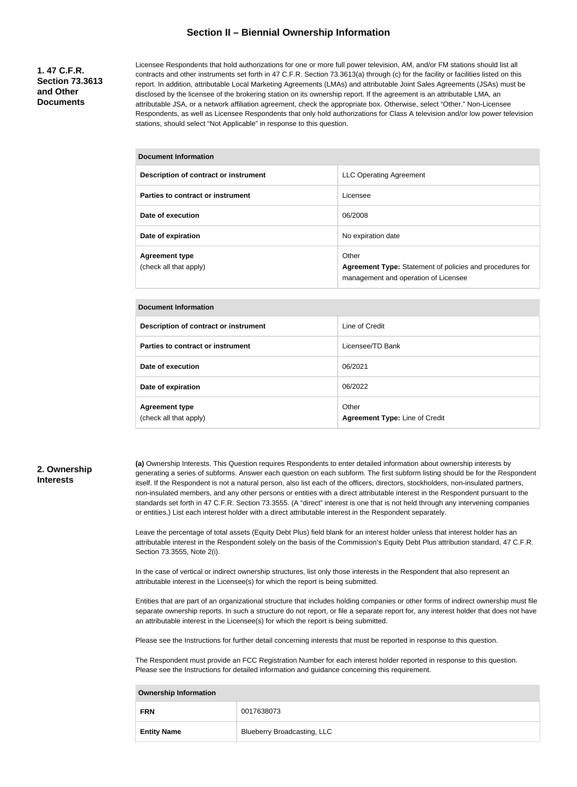### **Section II – Biennial Ownership Information**

#### **1. 47 C.F.R. Section 73.3613 and Other Documents**

Licensee Respondents that hold authorizations for one or more full power television, AM, and/or FM stations should list all contracts and other instruments set forth in 47 C.F.R. Section 73.3613(a) through (c) for the facility or facilities listed on this report. In addition, attributable Local Marketing Agreements (LMAs) and attributable Joint Sales Agreements (JSAs) must be disclosed by the licensee of the brokering station on its ownership report. If the agreement is an attributable LMA, an attributable JSA, or a network affiliation agreement, check the appropriate box. Otherwise, select "Other." Non-Licensee Respondents, as well as Licensee Respondents that only hold authorizations for Class A television and/or low power television stations, should select "Not Applicable" in response to this question.

#### **Document Information**

| Description of contract or instrument           | <b>LLC Operating Agreement</b>                                                                                   |
|-------------------------------------------------|------------------------------------------------------------------------------------------------------------------|
| Parties to contract or instrument               | Licensee                                                                                                         |
| Date of execution                               | 06/2008                                                                                                          |
| Date of expiration                              | No expiration date                                                                                               |
| <b>Agreement type</b><br>(check all that apply) | Other<br><b>Agreement Type:</b> Statement of policies and procedures for<br>management and operation of Licensee |

#### **Document Information**

| Description of contract or instrument           | Line of Credit                          |
|-------------------------------------------------|-----------------------------------------|
| Parties to contract or instrument               | Licensee/TD Bank                        |
| Date of execution                               | 06/2021                                 |
| Date of expiration                              | 06/2022                                 |
| <b>Agreement type</b><br>(check all that apply) | Other<br>Agreement Type: Line of Credit |

#### **2. Ownership Interests**

**(a)** Ownership Interests. This Question requires Respondents to enter detailed information about ownership interests by generating a series of subforms. Answer each question on each subform. The first subform listing should be for the Respondent itself. If the Respondent is not a natural person, also list each of the officers, directors, stockholders, non-insulated partners, non-insulated members, and any other persons or entities with a direct attributable interest in the Respondent pursuant to the standards set forth in 47 C.F.R. Section 73.3555. (A "direct" interest is one that is not held through any intervening companies or entities.) List each interest holder with a direct attributable interest in the Respondent separately.

Leave the percentage of total assets (Equity Debt Plus) field blank for an interest holder unless that interest holder has an attributable interest in the Respondent solely on the basis of the Commission's Equity Debt Plus attribution standard, 47 C.F.R. Section 73.3555, Note 2(i).

In the case of vertical or indirect ownership structures, list only those interests in the Respondent that also represent an attributable interest in the Licensee(s) for which the report is being submitted.

Entities that are part of an organizational structure that includes holding companies or other forms of indirect ownership must file separate ownership reports. In such a structure do not report, or file a separate report for, any interest holder that does not have an attributable interest in the Licensee(s) for which the report is being submitted.

Please see the Instructions for further detail concerning interests that must be reported in response to this question.

The Respondent must provide an FCC Registration Number for each interest holder reported in response to this question. Please see the Instructions for detailed information and guidance concerning this requirement.

#### **Ownership Information**

| <b>FRN</b>         | 0017638073                         |
|--------------------|------------------------------------|
| <b>Entity Name</b> | <b>Blueberry Broadcasting, LLC</b> |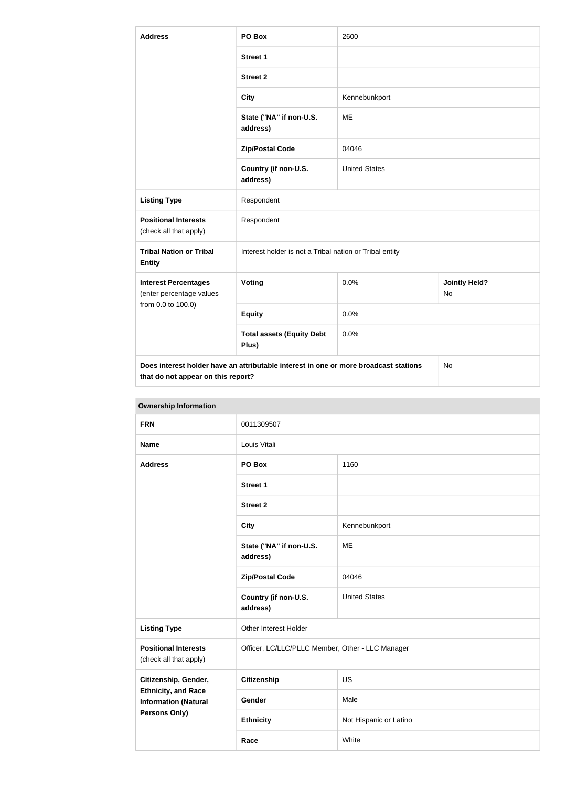| <b>Address</b>                                                                | PO Box                                                                               | 2600                 |                                   |
|-------------------------------------------------------------------------------|--------------------------------------------------------------------------------------|----------------------|-----------------------------------|
|                                                                               | <b>Street 1</b>                                                                      |                      |                                   |
|                                                                               | <b>Street 2</b>                                                                      |                      |                                   |
|                                                                               | <b>City</b>                                                                          | Kennebunkport        |                                   |
|                                                                               | State ("NA" if non-U.S.<br>address)                                                  | <b>ME</b>            |                                   |
|                                                                               | <b>Zip/Postal Code</b>                                                               | 04046                |                                   |
|                                                                               | Country (if non-U.S.<br>address)                                                     | <b>United States</b> |                                   |
| <b>Listing Type</b>                                                           | Respondent                                                                           |                      |                                   |
| <b>Positional Interests</b><br>(check all that apply)                         | Respondent                                                                           |                      |                                   |
| <b>Tribal Nation or Tribal</b><br><b>Entity</b>                               | Interest holder is not a Tribal nation or Tribal entity                              |                      |                                   |
| <b>Interest Percentages</b><br>(enter percentage values<br>from 0.0 to 100.0) | Voting                                                                               | 0.0%                 | <b>Jointly Held?</b><br><b>No</b> |
|                                                                               | <b>Equity</b>                                                                        | 0.0%                 |                                   |
|                                                                               | <b>Total assets (Equity Debt</b><br>Plus)                                            | 0.0%                 |                                   |
| that do not appear on this report?                                            | Does interest holder have an attributable interest in one or more broadcast stations |                      | No                                |

| <b>Ownership Information</b>                              |                                                  |                        |  |
|-----------------------------------------------------------|--------------------------------------------------|------------------------|--|
| <b>FRN</b>                                                | 0011309507                                       |                        |  |
| <b>Name</b>                                               | Louis Vitali                                     |                        |  |
| <b>Address</b>                                            | PO Box                                           | 1160                   |  |
|                                                           | <b>Street 1</b>                                  |                        |  |
|                                                           | <b>Street 2</b>                                  |                        |  |
|                                                           | <b>City</b>                                      | Kennebunkport          |  |
|                                                           | State ("NA" if non-U.S.<br>address)              | <b>ME</b>              |  |
|                                                           | <b>Zip/Postal Code</b>                           | 04046                  |  |
|                                                           | Country (if non-U.S.<br>address)                 | <b>United States</b>   |  |
| <b>Listing Type</b>                                       | Other Interest Holder                            |                        |  |
| <b>Positional Interests</b><br>(check all that apply)     | Officer, LC/LLC/PLLC Member, Other - LLC Manager |                        |  |
| Citizenship, Gender,                                      | <b>Citizenship</b>                               | US                     |  |
| <b>Ethnicity, and Race</b><br><b>Information (Natural</b> | Gender                                           | Male                   |  |
| <b>Persons Only)</b>                                      | <b>Ethnicity</b>                                 | Not Hispanic or Latino |  |
|                                                           | Race                                             | White                  |  |

# **Ownership Information**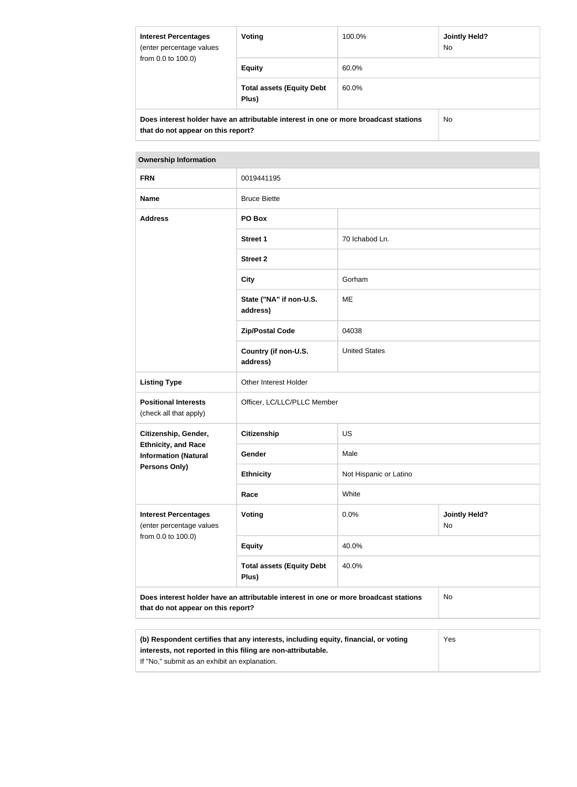| <b>Interest Percentages</b><br>(enter percentage values<br>from 0.0 to 100.0) | Voting                                                                               | 100.0% | <b>Jointly Held?</b><br>No. |
|-------------------------------------------------------------------------------|--------------------------------------------------------------------------------------|--------|-----------------------------|
|                                                                               | <b>Equity</b>                                                                        | 60.0%  |                             |
|                                                                               | <b>Total assets (Equity Debt</b><br>Plus)                                            | 60.0%  |                             |
|                                                                               | Does interest holder have an attributable interest in one or more broadcast stations |        | No.                         |
| that do not appear on this report?                                            |                                                                                      |        |                             |

#### **Ownership Information**

| <b>FRN</b>                                                                    | 0019441195                                                                                                                 |                        |                            |
|-------------------------------------------------------------------------------|----------------------------------------------------------------------------------------------------------------------------|------------------------|----------------------------|
| <b>Name</b>                                                                   | <b>Bruce Biette</b>                                                                                                        |                        |                            |
| <b>Address</b>                                                                | PO Box                                                                                                                     |                        |                            |
|                                                                               | <b>Street 1</b>                                                                                                            | 70 Ichabod Ln.         |                            |
|                                                                               | <b>Street 2</b>                                                                                                            |                        |                            |
|                                                                               | <b>City</b>                                                                                                                | Gorham                 |                            |
|                                                                               | State ("NA" if non-U.S.<br>address)                                                                                        | ME                     |                            |
|                                                                               | <b>Zip/Postal Code</b>                                                                                                     | 04038                  |                            |
|                                                                               | Country (if non-U.S.<br>address)                                                                                           | <b>United States</b>   |                            |
| <b>Listing Type</b>                                                           | Other Interest Holder                                                                                                      |                        |                            |
| <b>Positional Interests</b><br>(check all that apply)                         | Officer, LC/LLC/PLLC Member                                                                                                |                        |                            |
| Citizenship, Gender,                                                          | <b>Citizenship</b>                                                                                                         | US                     |                            |
| <b>Ethnicity, and Race</b><br><b>Information (Natural</b>                     | Gender                                                                                                                     | Male                   |                            |
| <b>Persons Only)</b>                                                          | <b>Ethnicity</b>                                                                                                           | Not Hispanic or Latino |                            |
|                                                                               | Race                                                                                                                       | White                  |                            |
| <b>Interest Percentages</b><br>(enter percentage values<br>from 0.0 to 100.0) | <b>Voting</b>                                                                                                              | 0.0%                   | <b>Jointly Held?</b><br>No |
|                                                                               | <b>Equity</b>                                                                                                              | 40.0%                  |                            |
|                                                                               | <b>Total assets (Equity Debt</b><br>Plus)                                                                                  | 40.0%                  |                            |
|                                                                               | Does interest holder have an attributable interest in one or more broadcast stations<br>that do not appear on this report? |                        | <b>No</b>                  |
|                                                                               |                                                                                                                            |                        |                            |
|                                                                               |                                                                                                                            |                        |                            |

| (b) Respondent certifies that any interests, including equity, financial, or voting | Yes |
|-------------------------------------------------------------------------------------|-----|
| interests, not reported in this filing are non-attributable.                        |     |
| If "No," submit as an exhibit an explanation.                                       |     |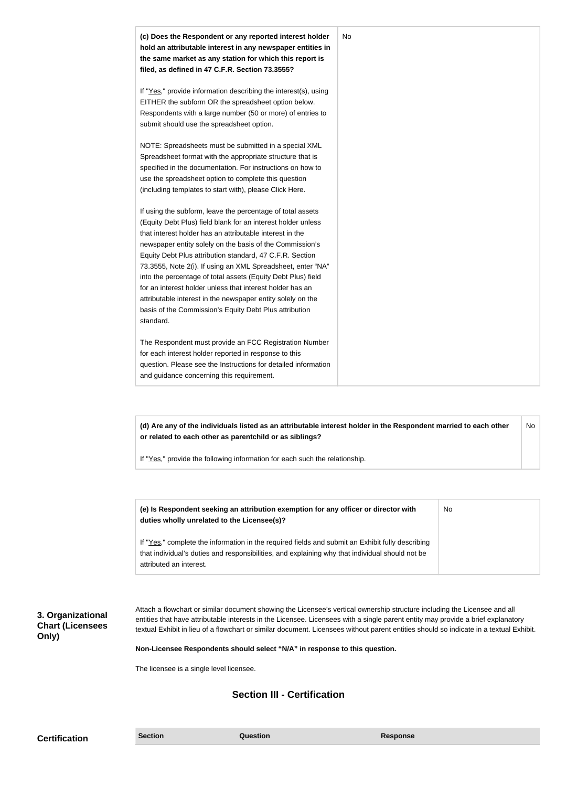| (c) Does the Respondent or any reported interest holder<br>hold an attributable interest in any newspaper entities in<br>the same market as any station for which this report is<br>filed, as defined in 47 C.F.R. Section 73.3555?                                                                                                                                                                                                                                                                                                                                                                                                              | No |
|--------------------------------------------------------------------------------------------------------------------------------------------------------------------------------------------------------------------------------------------------------------------------------------------------------------------------------------------------------------------------------------------------------------------------------------------------------------------------------------------------------------------------------------------------------------------------------------------------------------------------------------------------|----|
| If "Yes," provide information describing the interest(s), using<br>EITHER the subform OR the spreadsheet option below.<br>Respondents with a large number (50 or more) of entries to<br>submit should use the spreadsheet option.                                                                                                                                                                                                                                                                                                                                                                                                                |    |
| NOTE: Spreadsheets must be submitted in a special XML<br>Spreadsheet format with the appropriate structure that is<br>specified in the documentation. For instructions on how to<br>use the spreadsheet option to complete this question<br>(including templates to start with), please Click Here.                                                                                                                                                                                                                                                                                                                                              |    |
| If using the subform, leave the percentage of total assets<br>(Equity Debt Plus) field blank for an interest holder unless<br>that interest holder has an attributable interest in the<br>newspaper entity solely on the basis of the Commission's<br>Equity Debt Plus attribution standard, 47 C.F.R. Section<br>73.3555, Note 2(i). If using an XML Spreadsheet, enter "NA"<br>into the percentage of total assets (Equity Debt Plus) field<br>for an interest holder unless that interest holder has an<br>attributable interest in the newspaper entity solely on the<br>basis of the Commission's Equity Debt Plus attribution<br>standard. |    |
| The Respondent must provide an FCC Registration Number<br>for each interest holder reported in response to this<br>question. Please see the Instructions for detailed information<br>and guidance concerning this requirement.                                                                                                                                                                                                                                                                                                                                                                                                                   |    |

**(d) Are any of the individuals listed as an attributable interest holder in the Respondent married to each other or related to each other as parentchild or as siblings?** No

If "Yes," provide the following information for each such the relationship.

| (e) Is Respondent seeking an attribution exemption for any officer or director with<br>duties wholly unrelated to the Licensee(s)? | No |
|------------------------------------------------------------------------------------------------------------------------------------|----|
| If "Yes," complete the information in the required fields and submit an Exhibit fully describing                                   |    |
| that individual's duties and responsibilities, and explaining why that individual should not be                                    |    |
| attributed an interest.                                                                                                            |    |

**3. Organizational Chart (Licensees Only)**

Attach a flowchart or similar document showing the Licensee's vertical ownership structure including the Licensee and all entities that have attributable interests in the Licensee. Licensees with a single parent entity may provide a brief explanatory textual Exhibit in lieu of a flowchart or similar document. Licensees without parent entities should so indicate in a textual Exhibit.

**Non-Licensee Respondents should select "N/A" in response to this question.**

The licensee is a single level licensee.

# **Section III - Certification**